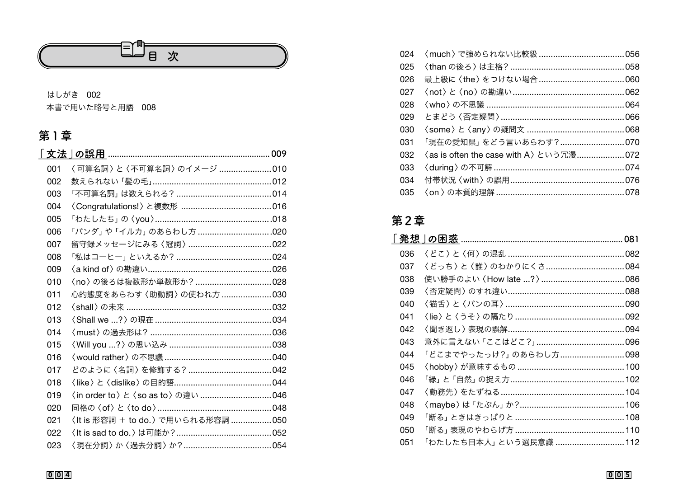

### はしがき 002

本書で用いた略号と用語 008

## 第1章

| 001 | 〈 可算名詞 〉 と〈 不可算名詞 〉 のイメージ 010     |  |
|-----|-----------------------------------|--|
| 002 |                                   |  |
| 003 |                                   |  |
| 004 |                                   |  |
| 005 |                                   |  |
| 006 | 「パンダ」や「イルカ」のあらわし方 020             |  |
| 007 |                                   |  |
| 008 |                                   |  |
| 009 |                                   |  |
| 010 | 〈no〉の後ろは複数形か単数形か? 028             |  |
| 011 | 心的態度をあらわす〈助動詞〉の使われ方 030           |  |
| 012 |                                   |  |
| 013 |                                   |  |
| 014 | 〈must〉の過去形は?…………………………………………036   |  |
| 015 |                                   |  |
| 016 |                                   |  |
| 017 |                                   |  |
| 018 |                                   |  |
| 019 | 〈in order to〉と〈so as to〉の違い 046   |  |
| 020 |                                   |  |
| 021 | 〈It is 形容詞 + to do.〉で用いられる形容詞 050 |  |
| 022 |                                   |  |
| 023 |                                   |  |

| 「現在の愛知県」 をどう言いあらわす?070                 |  |
|----------------------------------------|--|
| (as is often the case with A) という冗漫072 |  |
|                                        |  |
|                                        |  |
|                                        |  |
|                                        |  |

### 第2章

| 036 |                                 |  |
|-----|---------------------------------|--|
| 037 | 〈どっち〉と〈誰〉のわかりにくさ……………………………084  |  |
| 038 |                                 |  |
| 039 |                                 |  |
| 040 |                                 |  |
| 041 |                                 |  |
| 042 |                                 |  |
| 043 |                                 |  |
| 044 | 「どこまでやったっけ?」のあらわし方098           |  |
| 045 |                                 |  |
| 046 | 「緑」と「自然」の捉え方…………………………………………102 |  |
| 047 |                                 |  |
| 048 |                                 |  |
| 049 |                                 |  |
| 050 |                                 |  |
| 051 | 「わたしたち日本人」 という選民意識 112          |  |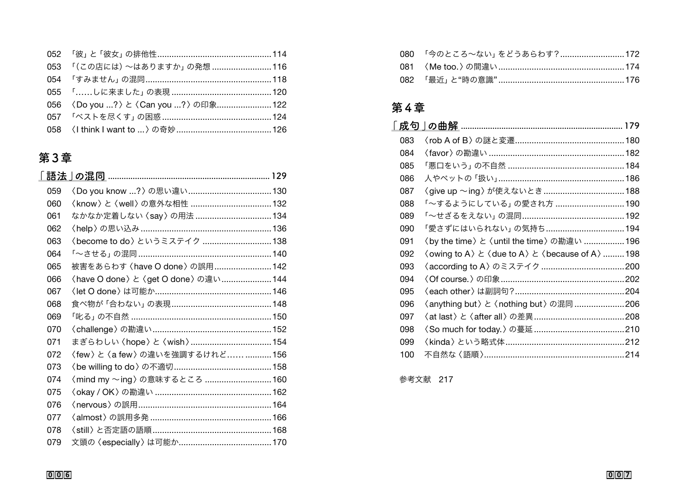| 053 「(この店には)~はありますか」の発想 116           |  |
|---------------------------------------|--|
| 054 「すみません」の混同………………………………………………118   |  |
| 055 「……しに来ました」 の表現 …………………………………… 120 |  |
| 056 〈Do you ?〉と〈Can you ?〉の印象122      |  |
|                                       |  |
|                                       |  |

## **第3章**

| 059 |                                            |  |
|-----|--------------------------------------------|--|
| 060 |                                            |  |
| 061 | なかなか定着しない〈say〉の用法  134                     |  |
| 062 |                                            |  |
| 063 | <become do="" to="">というミステイク  138</become> |  |
| 064 |                                            |  |
| 065 | 被害をあらわす 〈have O done〉 の誤用142               |  |
| 066 | 〈have O done〉 と 〈get O done〉 の違い  144      |  |
| 067 |                                            |  |
| 068 |                                            |  |
| 069 |                                            |  |
| 070 |                                            |  |
| 071 | まぎらわしい〈hope〉と〈wish〉154                     |  |
| 072 | 〈few〉 と〈a few〉 の違いを強調するけれど156              |  |
| 073 |                                            |  |
| 074 | <mind my="" ~ing=""> の意味するところ 160</mind>   |  |
| 075 |                                            |  |
| 076 |                                            |  |
| 077 |                                            |  |
| 078 |                                            |  |
| 079 |                                            |  |

| 080 「今のところ~ない」をどうあらわす?172             |  |
|---------------------------------------|--|
|                                       |  |
| _082 「最近」と"時の意識"………………………………………………176 |  |

# **第4章**

| 成句  |                                                                     |  |
|-----|---------------------------------------------------------------------|--|
| 083 |                                                                     |  |
| 084 |                                                                     |  |
| 085 |                                                                     |  |
| 086 |                                                                     |  |
| 087 |                                                                     |  |
| 088 | 「~するようにしている」の愛され方 190                                               |  |
| 089 |                                                                     |  |
| 090 | 「愛さずにはいられない」の気持ち 194                                                |  |
| 091 | 〈by the time〉 と 〈until the time〉 の勘違い  196                          |  |
| 092 | < owing to A > $\angle$ < due to A > $\angle$ < because of A >  198 |  |
| 093 |                                                                     |  |
| 094 |                                                                     |  |
| 095 | 〈each other〉は副詞句?………………………………………204                                 |  |
| 096 | 〈anything but〉と〈nothing but〉の混同 206                                 |  |
| 097 |                                                                     |  |
| 098 |                                                                     |  |
| 099 |                                                                     |  |
| 100 |                                                                     |  |

参考文献 217